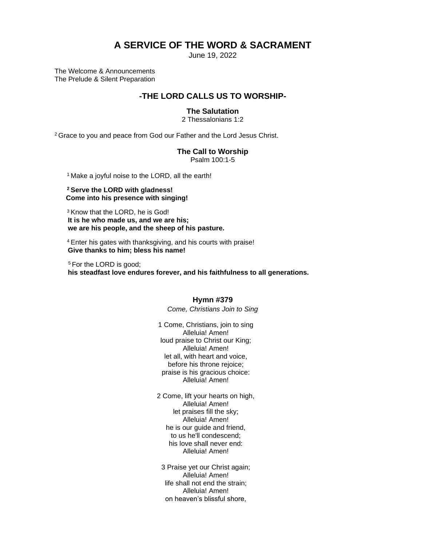# **A SERVICE OF THE WORD & SACRAMENT**

June 19, 2022

The Welcome & Announcements The Prelude & Silent Preparation

# **-THE LORD CALLS US TO WORSHIP-**

### **The Salutation**

2 Thessalonians 1:2

<sup>2</sup> Grace to you and peace from God our Father and the Lord Jesus Christ.

### **The Call to Worship**

Psalm 100:1-5

<sup>1</sup> Make a joyful noise to the LORD, all the earth!

#### **<sup>2</sup>Serve the LORD with gladness! Come into his presence with singing!**

<sup>3</sup> Know that the LORD, he is God!  **It is he who made us, and we are his; we are his people, and the sheep of his pasture.**

<sup>4</sup>Enter his gates with thanksgiving, and his courts with praise!  **Give thanks to him; bless his name!**

<sup>5</sup> For the LORD is good;  **his steadfast love endures forever, and his faithfulness to all generations.**

### **Hymn #379**

*Come, Christians Join to Sing*

1 Come, Christians, join to sing Alleluia! Amen! loud praise to Christ our King; Alleluia! Amen! let all, with heart and voice, before his throne rejoice; praise is his gracious choice: Alleluia! Amen!

2 Come, lift your hearts on high, Alleluia! Amen! let praises fill the sky; Alleluia! Amen! he is our guide and friend, to us he'll condescend; his love shall never end: Alleluia! Amen!

3 Praise yet our Christ again; Alleluia! Amen! life shall not end the strain; Alleluia! Amen! on heaven's blissful shore,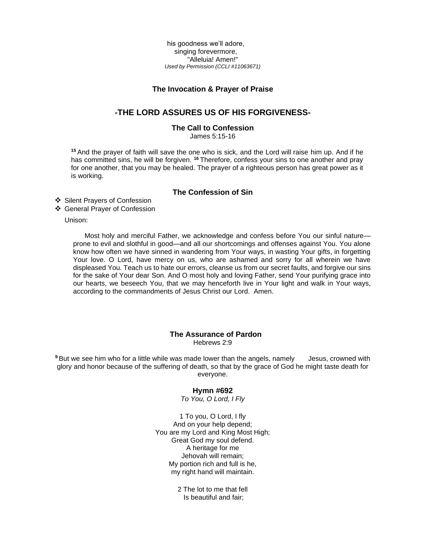his goodness we'll adore, singing forevermore, "Alleluia! Amen!" *Used by Permission (CCLI #11063671)*

### **The Invocation & Prayer of Praise**

### **-THE LORD ASSURES US OF HIS FORGIVENESS-**

### **The Call to Confession**

James 5:15-16

**<sup>15</sup>** And the prayer of faith will save the one who is sick, and the Lord will raise him up. And if he has committed sins, he will be forgiven. <sup>16</sup> Therefore, confess your sins to one another and pray for one another, that you may be healed. The prayer of a righteous person has great power as it is working.

### **The Confession of Sin**

❖ Silent Prayers of Confession

❖ General Prayer of Confession

Unison:

 Most holy and merciful Father, we acknowledge and confess before You our sinful nature prone to evil and slothful in good—and all our shortcomings and offenses against You. You alone know how often we have sinned in wandering from Your ways, in wasting Your gifts, in forgetting Your love. O Lord, have mercy on us, who are ashamed and sorry for all wherein we have displeased You. Teach us to hate our errors, cleanse us from our secret faults, and forgive our sins for the sake of Your dear Son. And O most holy and loving Father, send Your purifying grace into our hearts, we beseech You, that we may henceforth live in Your light and walk in Your ways, according to the commandments of Jesus Christ our Lord. Amen.

# **The Assurance of Pardon**

Hebrews 2:9

<sup>9</sup> But we see him who for a little while was made lower than the angels, namely Jesus, crowned with glory and honor because of the suffering of death, so that by the grace of God he might taste death for everyone.

### **Hymn #692**

*To You, O Lord, I Fly*

1 To you, O Lord, I fly And on your help depend; You are my Lord and King Most High; Great God my soul defend. A heritage for me Jehovah will remain; My portion rich and full is he, my right hand will maintain.

> 2 The lot to me that fell Is beautiful and fair;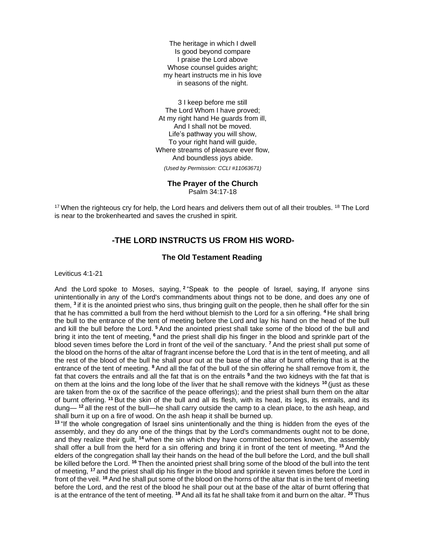The heritage in which I dwell Is good beyond compare I praise the Lord above Whose counsel guides aright; my heart instructs me in his love in seasons of the night.

3 I keep before me still The Lord Whom I have proved; At my right hand He guards from ill, And I shall not be moved. Life's pathway you will show, To your right hand will guide, Where streams of pleasure ever flow, And boundless joys abide.

*(Used by Permission: CCLI #11063671)*

#### **The Prayer of the Church**

Psalm 34:17-18

<sup>17</sup> When the righteous cry for help, the Lord hears and delivers them out of all their troubles. <sup>18</sup> The Lord is near to the brokenhearted and saves the crushed in spirit.

## **-THE LORD INSTRUCTS US FROM HIS WORD-**

### **The Old Testament Reading**

Leviticus 4:1-21

And the Lord spoke to Moses, saying, **<sup>2</sup>** "Speak to the people of Israel, saying, If anyone sins unintentionally in any of the Lord's commandments about things not to be done, and does any one of them, **<sup>3</sup>** if it is the anointed priest who sins, thus bringing guilt on the people, then he shall offer for the sin that he has committed a bull from the herd without blemish to the Lord for a sin offering. **<sup>4</sup>** He shall bring the bull to the entrance of the tent of meeting before the Lord and lay his hand on the head of the bull and kill the bull before the Lord. **<sup>5</sup>** And the anointed priest shall take some of the blood of the bull and bring it into the tent of meeting, **<sup>6</sup>** and the priest shall dip his finger in the blood and sprinkle part of the blood seven times before the Lord in front of the veil of the sanctuary. **<sup>7</sup>** And the priest shall put some of the blood on the horns of the altar of fragrant incense before the Lord that is in the tent of meeting, and all the rest of the blood of the bull he shall pour out at the base of the altar of burnt offering that is at the entrance of the tent of meeting. **<sup>8</sup>** And all the fat of the bull of the sin offering he shall remove from it, the fat that covers the entrails and all the fat that is on the entrails **<sup>9</sup>** and the two kidneys with the fat that is on them at the loins and the long lobe of the liver that he shall remove with the kidneys **<sup>10</sup>** (just as these are taken from the ox of the sacrifice of the peace offerings); and the priest shall burn them on the altar of burnt offering. **<sup>11</sup>** But the skin of the bull and all its flesh, with its head, its legs, its entrails, and its dung— **<sup>12</sup>** all the rest of the bull—he shall carry outside the camp to a clean place, to the ash heap, and shall burn it up on a fire of wood. On the ash heap it shall be burned up.

**<sup>13</sup>** "If the whole congregation of Israel sins unintentionally and the thing is hidden from the eyes of the assembly, and they do any one of the things that by the Lord's commandments ought not to be done, and they realize their guilt, **<sup>14</sup>** when the sin which they have committed becomes known, the assembly shall offer a bull from the herd for a sin offering and bring it in front of the tent of meeting. **<sup>15</sup>** And the elders of the congregation shall lay their hands on the head of the bull before the Lord, and the bull shall be killed before the Lord. <sup>16</sup> Then the anointed priest shall bring some of the blood of the bull into the tent of meeting, **<sup>17</sup>** and the priest shall dip his finger in the blood and sprinkle it seven times before the Lord in front of the veil. **<sup>18</sup>** And he shall put some of the blood on the horns of the altar that is in the tent of meeting before the Lord, and the rest of the blood he shall pour out at the base of the altar of burnt offering that is at the entrance of the tent of meeting. **<sup>19</sup>** And all its fat he shall take from it and burn on the altar. **<sup>20</sup>** Thus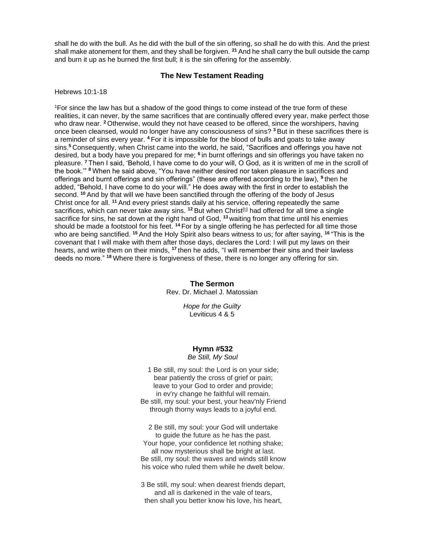shall he do with the bull. As he did with the bull of the sin offering, so shall he do with this. And the priest shall make atonement for them, and they shall be forgiven. **<sup>21</sup>** And he shall carry the bull outside the camp and burn it up as he burned the first bull; it is the sin offering for the assembly.

### **The New Testament Reading**

Hebrews 10:1-18

<sup>1</sup>For since the law has but a shadow of the good things to come instead of the true form of these realities, it can never, by the same sacrifices that are continually offered every year, make perfect those who draw near. **<sup>2</sup>** Otherwise, would they not have ceased to be offered, since the worshipers, having once been cleansed, would no longer have any consciousness of sins? **<sup>3</sup>** But in these sacrifices there is a reminder of sins every year. **<sup>4</sup>** For it is impossible for the blood of bulls and goats to take away sins.**<sup>5</sup>** Consequently, when Christ came into the world, he said, "Sacrifices and offerings you have not desired, but a body have you prepared for me; **<sup>6</sup>** in burnt offerings and sin offerings you have taken no pleasure. **<sup>7</sup>** Then I said, 'Behold, I have come to do your will, O God, as it is written of me in the scroll of the book.'" **<sup>8</sup>** When he said above, "You have neither desired nor taken pleasure in sacrifices and offerings and burnt offerings and sin offerings" (these are offered according to the law), **<sup>9</sup>** then he added, "Behold, I have come to do your will." He does away with the first in order to establish the second. **<sup>10</sup>** And by that will we have been sanctified through the offering of the body of Jesus Christ once for all. **<sup>11</sup>** And every priest stands daily at his service, offering repeatedly the same sacrifices, which can never take away sins. <sup>12</sup> But when Christ<sup>[b]</sup> had offered for all time a single sacrifice for sins, he sat down at the right hand of God, **<sup>13</sup>** waiting from that time until his enemies should be made a footstool for his feet. **<sup>14</sup>** For by a single offering he has perfected for all time those who are being sanctified. **<sup>15</sup>** And the Holy Spirit also bears witness to us; for after saying, **<sup>16</sup>** "This is the covenant that I will make with them after those days, declares the Lord: I will put my laws on their hearts, and write them on their minds, **<sup>17</sup>** then he adds, "I will remember their sins and their lawless deeds no more." **<sup>18</sup>** Where there is forgiveness of these, there is no longer any offering for sin.

> **The Sermon** Rev. Dr. Michael J. Matossian

> > *Hope for the Guilty* Leviticus 4 & 5

### **Hymn #532**

*Be Still, My Soul*

1 Be still, my soul: the Lord is on your side; bear patiently the cross of grief or pain; leave to your God to order and provide; in ev'ry change he faithful will remain. Be still, my soul: your best, your heav'nly Friend through thorny ways leads to a joyful end.

2 Be still, my soul: your God will undertake to guide the future as he has the past. Your hope, your confidence let nothing shake; all now mysterious shall be bright at last. Be still, my soul: the waves and winds still know his voice who ruled them while he dwelt below.

3 Be still, my soul: when dearest friends depart, and all is darkened in the vale of tears, then shall you better know his love, his heart,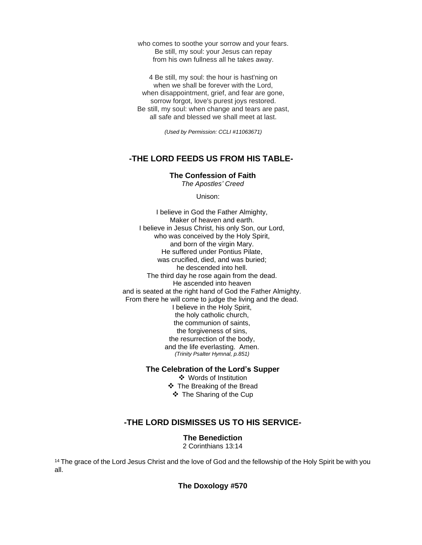who comes to soothe your sorrow and your fears. Be still, my soul: your Jesus can repay from his own fullness all he takes away.

4 Be still, my soul: the hour is hast'ning on when we shall be forever with the Lord, when disappointment, grief, and fear are gone, sorrow forgot, love's purest joys restored. Be still, my soul: when change and tears are past, all safe and blessed we shall meet at last.

*(Used by Permission: CCLI #11063671)*

## **-THE LORD FEEDS US FROM HIS TABLE-**

**The Confession of Faith**

*The Apostles' Creed*

Unison:

I believe in God the Father Almighty, Maker of heaven and earth. I believe in Jesus Christ, his only Son, our Lord, who was conceived by the Holy Spirit, and born of the virgin Mary. He suffered under Pontius Pilate, was crucified, died, and was buried; he descended into hell. The third day he rose again from the dead. He ascended into heaven and is seated at the right hand of God the Father Almighty. From there he will come to judge the living and the dead. I believe in the Holy Spirit, the holy catholic church, the communion of saints, the forgiveness of sins, the resurrection of the body, and the life everlasting. Amen. *(Trinity Psalter Hymnal, p.851)* 

**The Celebration of the Lord's Supper**

❖ Words of Institution ❖ The Breaking of the Bread ❖ The Sharing of the Cup

# **-THE LORD DISMISSES US TO HIS SERVICE-**

**The Benediction** 2 Corinthians 13:14

<sup>14</sup> The grace of the Lord Jesus Christ and the love of God and the fellowship of the Holy Spirit be with you all.

**The Doxology #570**